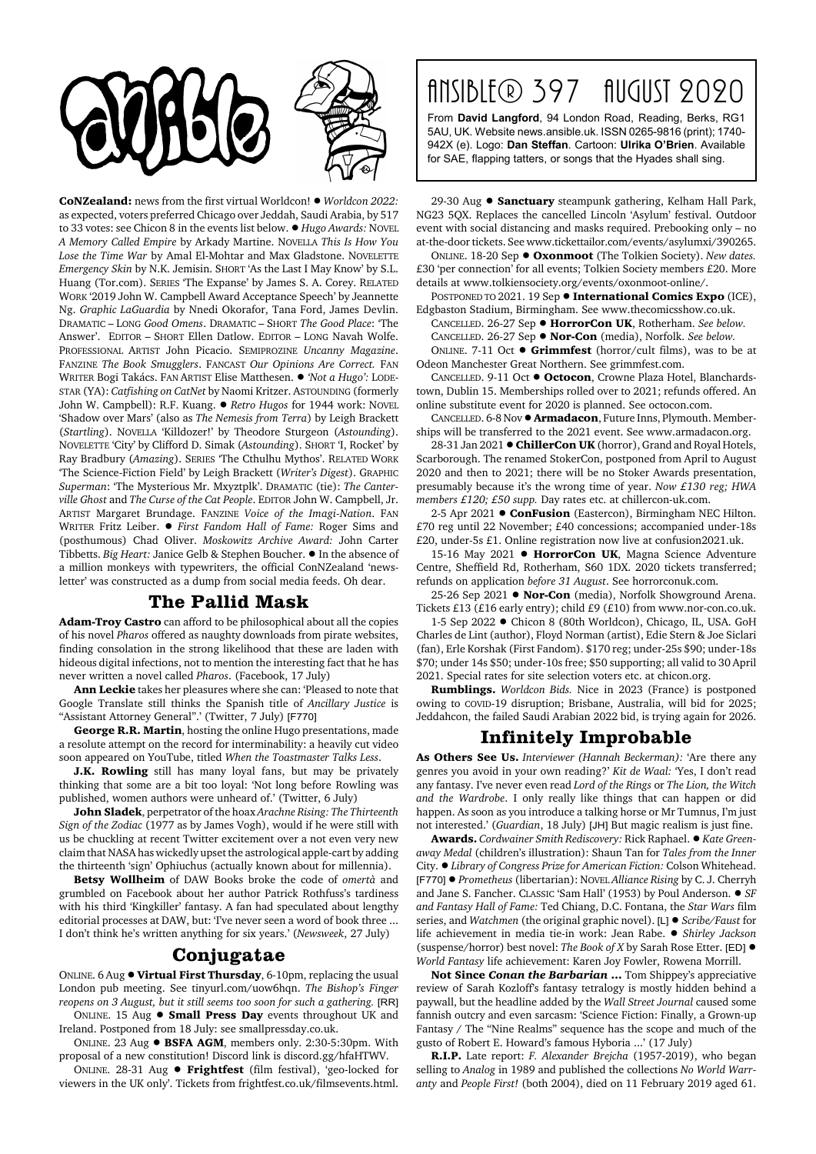

**CoNZealand:** news from the first virtual Worldcon! ! *Worldcon 2022:* as expected, voters preferred Chicago over Jeddah, Saudi Arabia, by 517 to 33 votes: see Chicon 8 in the events list below.  $\bullet$  *Hugo Awards:* NOVEL *A Memory Called Empire* by Arkady Martine. NOVELLA *This Is How You Lose the Time War* by Amal El-Mohtar and Max Gladstone. NOVELETTE *Emergency Skin* by N.K. Jemisin. SHORT 'As the Last I May Know' by S.L. Huang (Tor.com). SERIES 'The Expanse' by James S. A. Corey. RELATED WORK '2019 John W. Campbell Award Acceptance Speech' by Jeannette Ng. *Graphic LaGuardia* by Nnedi Okorafor, Tana Ford, James Devlin. DRAMATIC – LONG *Good Omens*. DRAMATIC – SHORT *The Good Place*: 'The Answer'. EDITOR – SHORT Ellen Datlow. EDITOR – LONG Navah Wolfe. PROFESSIONAL ARTIST John Picacio. SEMIPROZINE *Uncanny Magazine*. FANZINE *The Book Smugglers*. FANCAST *Our Opinions Are Correct.* FAN WRITER Bogi Takács. FAN ARTIST Elise Matthesen. ! *'Not a Hugo':* LODE-STAR (YA): *Catfishing on CatNet* by Naomi Kritzer. ASTOUNDING (formerly John W. Campbell): R.F. Kuang. . *Retro Hugos* for 1944 work: NOVEL 'Shadow over Mars' (also as *The Nemesis from Terra*) by Leigh Brackett (*Startling*). NOVELLA 'Killdozer!' by Theodore Sturgeon (*Astounding*). NOVELETTE 'City' by Clifford D. Simak (*Astounding*). SHORT 'I, Rocket' by Ray Bradbury (*Amazing*). SERIES 'The Cthulhu Mythos'. RELATED WORK 'The Science-Fiction Field' by Leigh Brackett (*Writer's Digest*). GRAPHIC *Superman*: 'The Mysterious Mr. Mxyztplk'. DRAMATIC (tie): *The Canterville Ghost* and *The Curse of the Cat People*. EDITOR John W. Campbell, Jr. ARTIST Margaret Brundage. FANZINE *Voice of the Imagi-Nation*. FAN WRITER Fritz Leiber. ! *First Fandom Hall of Fame:* Roger Sims and (posthumous) Chad Oliver. *Moskowitz Archive Award:* John Carter Tibbetts. *Big Heart:* Janice Gelb & Stephen Boucher. ! In the absence of a million monkeys with typewriters, the official ConNZealand 'newsletter' was constructed as a dump from social media feeds. Oh dear.

## **The Pallid Mask**

**Adam-Troy Castro** can afford to be philosophical about all the copies of his novel *Pharos* offered as naughty downloads from pirate websites, finding consolation in the strong likelihood that these are laden with hideous digital infections, not to mention the interesting fact that he has never written a novel called *Pharos*. (Facebook, 17 July)

**Ann Leckie** takes her pleasures where she can: 'Pleased to note that Google Translate still thinks the Spanish title of *Ancillary Justice* is "Assistant Attorney General".' (Twitter, 7 July) [F770]

**George R.R. Martin**, hosting the online Hugo presentations, made a resolute attempt on the record for interminability: a heavily cut video soon appeared on YouTube, titled *When the Toastmaster Talks Less*.

**J.K. Rowling** still has many loyal fans, but may be privately thinking that some are a bit too loyal: 'Not long before Rowling was published, women authors were unheard of.' (Twitter, 6 July)

**John Sladek**, perpetrator of the hoax *Arachne Rising: The Thirteenth Sign of the Zodiac* (1977 as by James Vogh), would if he were still with us be chuckling at recent Twitter excitement over a not even very new claim that NASA has wickedly upset the astrological apple-cart by adding the thirteenth 'sign' Ophiuchus (actually known about for millennia).

**Betsy Wollheim** of DAW Books broke the code of *omertà* and grumbled on Facebook about her author Patrick Rothfuss's tardiness with his third 'Kingkiller' fantasy. A fan had speculated about lengthy editorial processes at DAW, but: 'I've never seen a word of book three ... I don't think he's written anything for six years.' (*Newsweek*, 27 July)

## **Conjugatae**

ONLINE. 6 Aug ! **Virtual First Thursday**, 6-10pm, replacing the usual London pub meeting. See tinyurl.com/uow6hqn. *The Bishop's Finger reopens on 3 August, but it still seems too soon for such a gathering.* [RR] ONLINE. 15 Aug ! **Small Press Day** events throughout UK and

Ireland. Postponed from 18 July: see smallpressday.co.uk.

ONLINE. 23 Aug ! **BSFA AGM**, members only. 2:30-5:30pm. With proposal of a new constitution! Discord link is discord.gg/hfaHTWV.

ONLINE. 28-31 Aug ! **Frightfest** (film festival), 'geo-locked for viewers in the UK only'. Tickets from frightfest.co.uk/filmsevents.html.

## Ansible® 397 August 2020

From **David Langford**, 94 London Road, Reading, Berks, RG1 5AU, UK. Website news.ansible.uk. ISSN 0265-9816 (print); 1740- 942X (e). Logo: **Dan Steffan**. Cartoon: **Ulrika O'Brien**. Available for SAE, flapping tatters, or songs that the Hyades shall sing.

29-30 Aug ! **Sanctuary** steampunk gathering, Kelham Hall Park, NG23 5QX. Replaces the cancelled Lincoln 'Asylum' festival. Outdoor event with social distancing and masks required. Prebooking only – no at-the-door tickets. See www.tickettailor.com/events/asylumxi/390265.

ONLINE. 18-20 Sep ! **Oxonmoot** (The Tolkien Society). *New dates.* £30 'per connection' for all events; Tolkien Society members £20. More details at www.tolkiensociety.org/events/oxonmoot-online/.

POSTPONED TO 2021. 19 Sep  $\bullet$  **International Comics Expo** (ICE), Edgbaston Stadium, Birmingham. See www.thecomicsshow.co.uk.

CANCELLED. 26-27 Sep ! **HorrorCon UK**, Rotherham. *See below.* CANCELLED. 26-27 Sep ! **Nor-Con** (media), Norfolk. *See below.*

ONLINE. 7-11 Oct ! **Grimmfest** (horror/cult films), was to be at Odeon Manchester Great Northern. See grimmfest.com.

CANCELLED. 9-11 Oct ! **Octocon**, Crowne Plaza Hotel, Blanchardstown, Dublin 15. Memberships rolled over to 2021; refunds offered. An online substitute event for 2020 is planned. See octocon.com.

CANCELLED. 6-8 Nov ! **Armadacon**, Future Inns, Plymouth. Memberships will be transferred to the 2021 event. See www.armadacon.org.

28-31 Jan 2021 . ChillerCon UK (horror), Grand and Royal Hotels, Scarborough. The renamed StokerCon, postponed from April to August 2020 and then to 2021; there will be no Stoker Awards presentation, presumably because it's the wrong time of year. *Now £130 reg; HWA members £120; £50 supp.* Day rates etc. at chillercon-uk.com.

2-5 Apr 2021 **· ConFusion** (Eastercon), Birmingham NEC Hilton. £70 reg until 22 November; £40 concessions; accompanied under-18s £20, under-5s £1. Online registration now live at confusion2021.uk.

15-16 May 2021 **· HorrorCon UK**, Magna Science Adventure Centre, Sheffield Rd, Rotherham, S60 1DX. 2020 tickets transferred; refunds on application *before 31 August*. See horrorconuk.com.

25-26 Sep 2021 ● **Nor-Con** (media), Norfolk Showground Arena. Tickets £13 (£16 early entry); child £9 (£10) from www.nor-con.co.uk.

1-5 Sep 2022 · Chicon 8 (80th Worldcon), Chicago, IL, USA. GoH Charles de Lint (author), Floyd Norman (artist), Edie Stern & Joe Siclari (fan), Erle Korshak (First Fandom). \$170 reg; under-25s \$90; under-18s \$70; under 14s \$50; under-10s free; \$50 supporting; all valid to 30 April 2021. Special rates for site selection voters etc. at chicon.org.

**Rumblings.** *Worldcon Bids.* Nice in 2023 (France) is postponed owing to COVID-19 disruption; Brisbane, Australia, will bid for 2025; Jeddahcon, the failed Saudi Arabian 2022 bid, is trying again for 2026.

## **Infinitely Improbable**

**As Others See Us.** *Interviewer (Hannah Beckerman):* 'Are there any genres you avoid in your own reading?' *Kit de Waal:* 'Yes, I don't read any fantasy. I've never even read *Lord of the Rings* or *The Lion, the Witch and the Wardrobe*. I only really like things that can happen or did happen. As soon as you introduce a talking horse or Mr Tumnus, I'm just not interested.' (*Guardian*, 18 July) [JH] But magic realism is just fine.

**Awards.** Cordwainer Smith Rediscovery: Rick Raphael. ● Kate Green*away Medal* (children's illustration): Shaun Tan for *Tales from the Inner* City. ! *Library of Congress Prize for American Fiction:* Colson Whitehead. [F770] ! *Prometheus* (libertarian): NOVEL *Alliance Rising* by C. J. Cherryh and Jane S. Fancher. CLASSIC 'Sam Hall' (1953) by Poul Anderson.  $\bullet$  *SF and Fantasy Hall of Fame:* Ted Chiang, D.C. Fontana, the *Star Wars* film series, and *Watchmen* (the original graphic novel). [L] ! *Scribe/Faust* for life achievement in media tie-in work: Jean Rabe. ! *Shirley Jackson* (suspense/horror) best novel: *The Book of X* by Sarah Rose Etter. [ED] ! *World Fantasy* life achievement: Karen Joy Fowler, Rowena Morrill.

**Not Since** *Conan the Barbarian* **...** Tom Shippey's appreciative review of Sarah Kozloff's fantasy tetralogy is mostly hidden behind a paywall, but the headline added by the *Wall Street Journal* caused some fannish outcry and even sarcasm: 'Science Fiction: Finally, a Grown-up Fantasy / The "Nine Realms" sequence has the scope and much of the gusto of Robert E. Howard's famous Hyboria ...' (17 July)

**R.I.P.** Late report: *F. Alexander Brejcha* (1957-2019), who began selling to *Analog* in 1989 and published the collections *No World Warranty* and *People First!* (both 2004), died on 11 February 2019 aged 61.